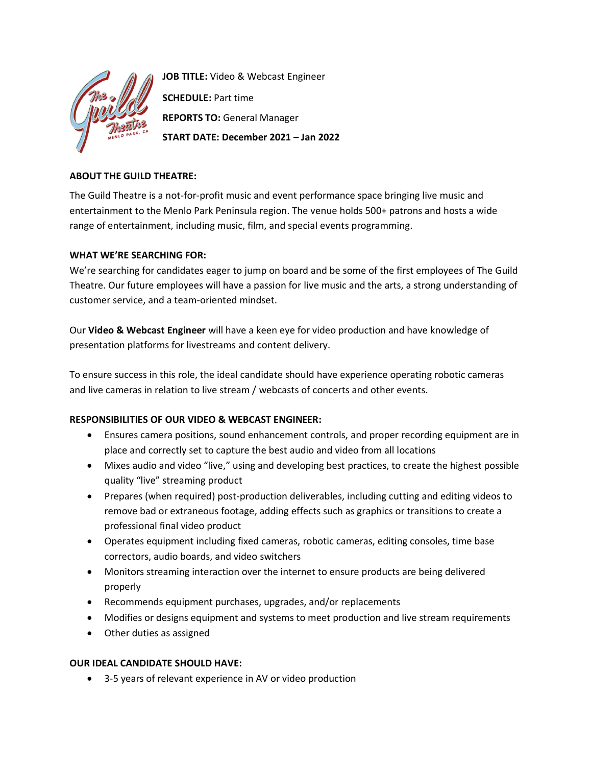

**JOB TITLE:** Video & Webcast Engineer **SCHEDULE:** Part time **REPORTS TO:** General Manager **START DATE: December 2021 – Jan 2022**

## **ABOUT THE GUILD THEATRE:**

The Guild Theatre is a not-for-profit music and event performance space bringing live music and entertainment to the Menlo Park Peninsula region. The venue holds 500+ patrons and hosts a wide range of entertainment, including music, film, and special events programming.

## **WHAT WE'RE SEARCHING FOR:**

We're searching for candidates eager to jump on board and be some of the first employees of The Guild Theatre. Our future employees will have a passion for live music and the arts, a strong understanding of customer service, and a team-oriented mindset.

Our **Video & Webcast Engineer** will have a keen eye for video production and have knowledge of presentation platforms for livestreams and content delivery.

To ensure success in this role, the ideal candidate should have experience operating robotic cameras and live cameras in relation to live stream / webcasts of concerts and other events.

# **RESPONSIBILITIES OF OUR VIDEO & WEBCAST ENGINEER:**

- Ensures camera positions, sound enhancement controls, and proper recording equipment are in place and correctly set to capture the best audio and video from all locations
- Mixes audio and video "live," using and developing best practices, to create the highest possible quality "live" streaming product
- Prepares (when required) post-production deliverables, including cutting and editing videos to remove bad or extraneous footage, adding effects such as graphics or transitions to create a professional final video product
- Operates equipment including fixed cameras, robotic cameras, editing consoles, time base correctors, audio boards, and video switchers
- Monitors streaming interaction over the internet to ensure products are being delivered properly
- Recommends equipment purchases, upgrades, and/or replacements
- Modifies or designs equipment and systems to meet production and live stream requirements
- Other duties as assigned

### **OUR IDEAL CANDIDATE SHOULD HAVE:**

• 3-5 years of relevant experience in AV or video production